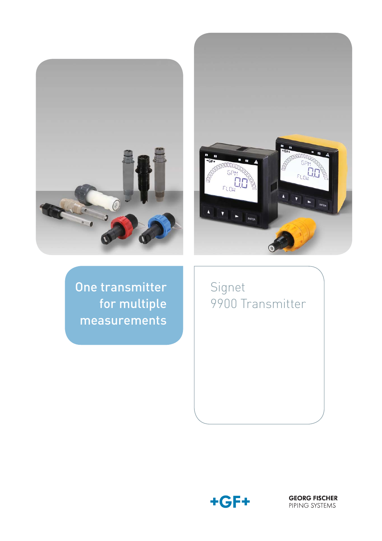



One transmitter for multiple measurements

Signet 9900 Transmitter



**GEORG FISCHER**<br>PIPING SYSTEMS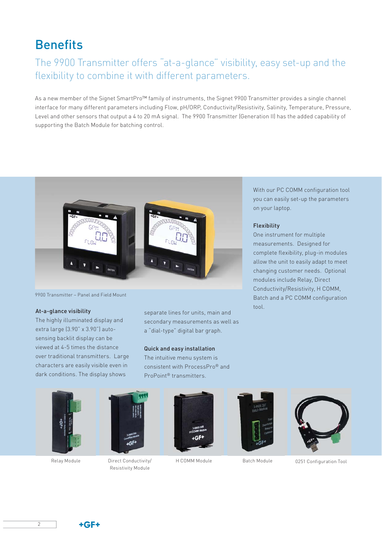# **Benefits**

### The 9900 Transmitter offers "at-a-glance" visibility, easy set-up and the flexibility to combine it with different parameters.

As a new member of the Signet SmartPro™ family of instruments, the Signet 9900 Transmitter provides a single channel interface for many different parameters including Flow, pH/ORP, Conductivity/Resistivity, Salinity, Temperature, Pressure, Level and other sensors that output a 4 to 20 mA signal. The 9900 Transmitter (Generation II) has the added capability of supporting the Batch Module for batching control.



9900 Transmitter – Panel and Field Mount

#### At-a-glance visibility

The highly illuminated display and extra large (3.90" x 3.90") autosensing backlit display can be viewed at 4-5 times the distance over traditional transmitters. Large characters are easily visible even in dark conditions. The display shows

separate lines for units, main and secondary measurements as well as a "dial-type" digital bar graph.

#### Quick and easy installation

The intuitive menu system is consistent with ProcessPro® and ProPoint® transmitters.





Relay Module Direct Conductivity/ Resistivity Module







H COMM Module Batch Module 0251 Configuration Tool

With our PC COMM configuration tool you can easily set-up the parameters on your laptop.

#### Flexibility

One instrument for multiple measurements. Designed for complete flexibility, plug-in modules allow the unit to easily adapt to meet changing customer needs. Optional modules include Relay, Direct Conductivity/Resistivity, H COMM, Batch and a PC COMM configuration tool.

 $+GF+$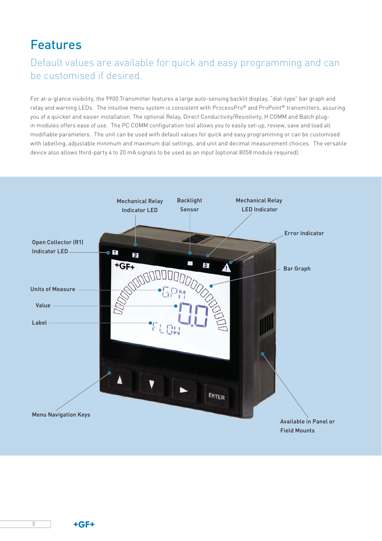# Features

### Default values are available for quick and easy programming and can be customised if desired.

For at-a-glance visibility, the 9900 Transmitter features a large auto-sensing backlit display, "dial-type" bar graph and relay and warning LEDs. The intuitive menu system is consistent with ProcessPro® and ProPoint® transmitters, assuring you of a quicker and easier installation. The optional Relay, Direct Conductivity/Resistivity, H COMM and Batch plugin modules offers ease of use. The PC COMM configuration tool allows you to easily set-up, review, save and load all modifiable parameters. The unit can be used with default values for quick and easy programming or can be customised with labelling, adjustable minimum and maximum dial settings, and unit and decimal measurement choices. The versatile device also allows third-party 4 to 20 mA signals to be used as an input (optional 8058 module required).



3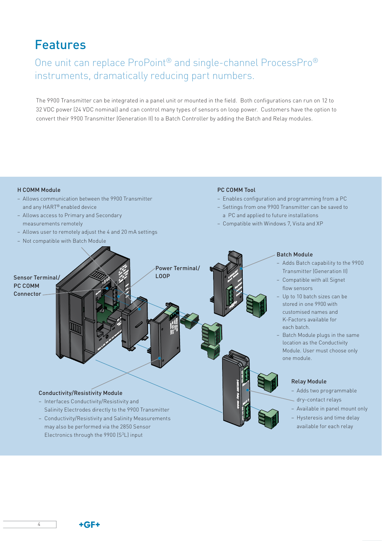# Features

### One unit can replace ProPoint® and single-channel ProcessPro® instruments, dramatically reducing part numbers.

The 9900 Transmitter can be integrated in a panel unit or mounted in the field. Both configurations can run on 12 to 32 VDC power (24 VDC nominal) and can control many types of sensors on loop power. Customers have the option to convert their 9900 Transmitter (Generation II) to a Batch Controller by adding the Batch and Relay modules.

#### H COMM Module

- Allows communication between the 9900 Transmitter and any HART® enabled device
- Allows access to Primary and Secondary measurements remotely
- Allows user to remotely adjust the 4 and 20 mA settings
- Not compatible with Batch Module

#### PC COMM Tool

- Enables configuration and programming from a PC
- Settings from one 9900 Transmitter can be saved to a PC and applied to future installations
- Compatible with Windows 7, Vista and XP



Electronics through the 9900 (S3L) input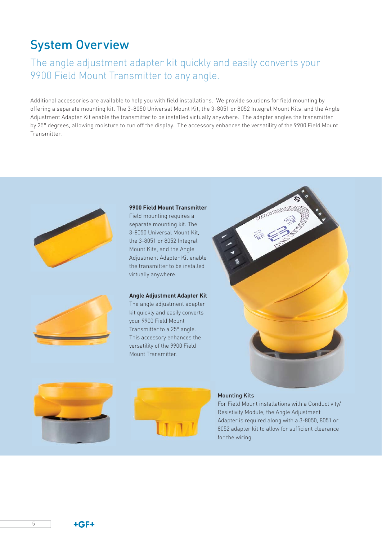# System Overview

### The angle adjustment adapter kit quickly and easily converts your 9900 Field Mount Transmitter to any angle.

Additional accessories are available to help you with field installations. We provide solutions for field mounting by offering a separate mounting kit. The 3-8050 Universal Mount Kit, the 3-8051 or 8052 Integral Mount Kits, and the Angle Adjustment Adapter Kit enable the transmitter to be installed virtually anywhere. The adapter angles the transmitter by 25° degrees, allowing moisture to run off the display. The accessory enhances the versatility of the 9900 Field Mount Transmitter.





#### **9900 Field Mount Transmitter**

Field mounting requires a separate mounting kit. The 3-8050 Universal Mount Kit, the 3-8051 or 8052 Integral Mount Kits, and the Angle Adjustment Adapter Kit enable the transmitter to be installed virtually anywhere.

#### **Angle Adjustment Adapter Kit**

The angle adjustment adapter kit quickly and easily converts your 9900 Field Mount Transmitter to a 25° angle. This accessory enhances the versatility of the 9900 Field Mount Transmitter.





#### Mounting Kits

For Field Mount installations with a Conductivity/ Resistivity Module, the Angle Adjustment Adapter is required along with a 3-8050, 8051 or 8052 adapter kit to allow for sufficient clearance for the wiring.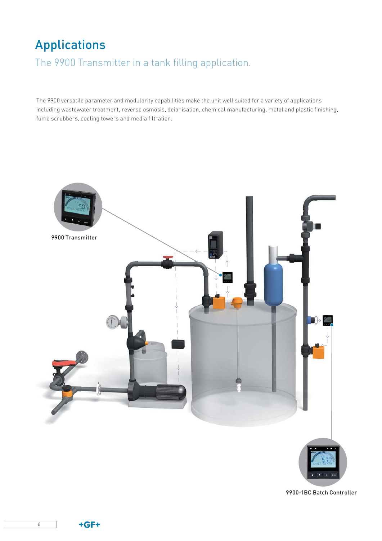# Applications

The 9900 Transmitter in a tank filling application.

The 9900 versatile parameter and modularity capabilities make the unit well suited for a variety of applications including wastewater treatment, reverse osmosis, deionisation, chemical manufacturing, metal and plastic finishing, fume scrubbers, cooling towers and media filtration.



9900-1BC Batch Controller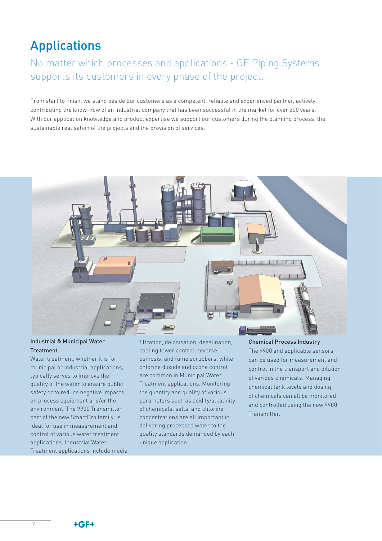# Applications

### No matter which processes and applications - GF Piping Systems supports its customers in every phase of the project.

From start to finish, we stand beside our customers as a competent, reliable and experienced partner, actively contributing the know-how of an industrial company that has been successful in the market for over 200 years. With our application knowledge and product expertise we support our customers during the planning process, the sustainable realisation of the projects and the provision of services.



### Industrial & Municipal Water Treatment

Water treatment, whether it is for municipal or industrial applications, typically serves to improve the quality of the water to ensure public safety or to reduce negative impacts on process equipment and/or the environment. The 9900 Transmitter, part of the new SmartPro family, is ideal for use in measurement and control of various water treatment applications. Industrial Water Treatment applications include media filtration, deionisation, desalination, cooling tower control, reverse osmosis, and fume scrubbers, while chlorine dioxide and ozone control are common in Municipal Water Treatment applications. Monitoring the quantity and quality of various parameters such as acidity/alkalinity of chemicals, salts, and chlorine concentrations are all important in delivering processed water to the quality standards demanded by each unique application.

#### Chemical Process Industry

The 9900 and applicable sensors can be used for measurement and control in the transport and dilution of various chemicals. Managing chemical tank levels and dosing of chemicals can all be monitored and controlled using the new 9900 **Transmitter** 

7